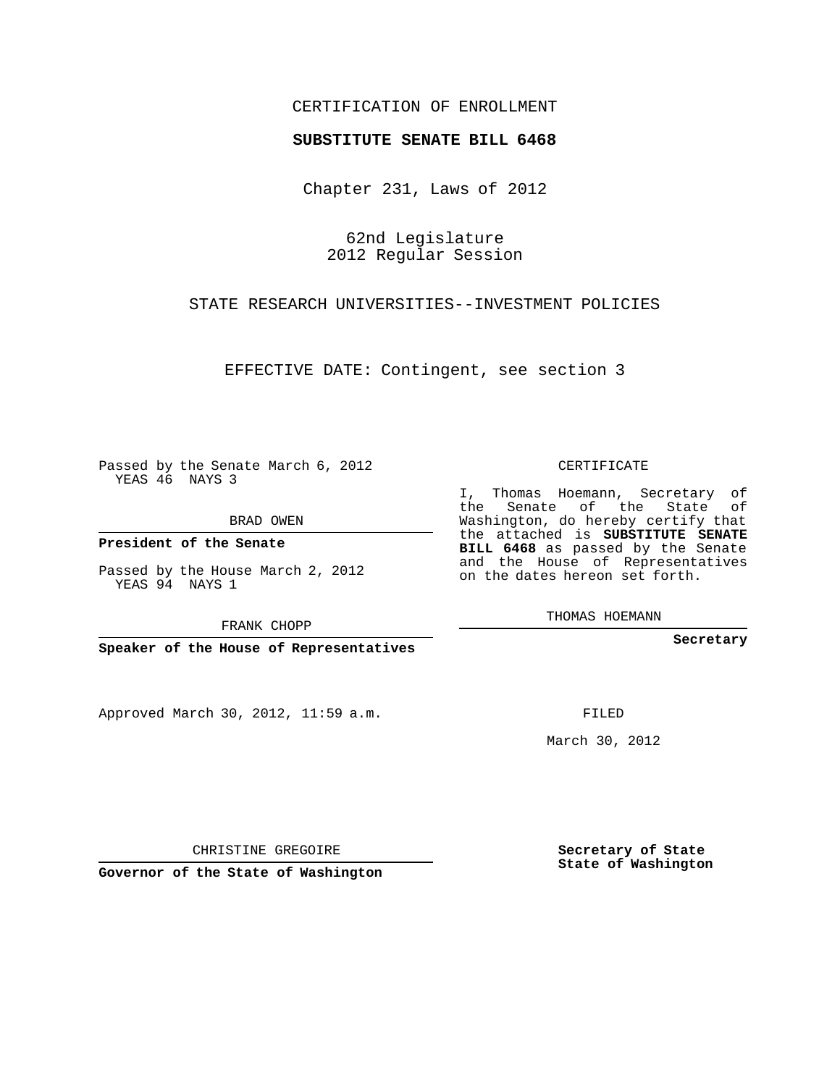## CERTIFICATION OF ENROLLMENT

## **SUBSTITUTE SENATE BILL 6468**

Chapter 231, Laws of 2012

62nd Legislature 2012 Regular Session

STATE RESEARCH UNIVERSITIES--INVESTMENT POLICIES

EFFECTIVE DATE: Contingent, see section 3

Passed by the Senate March 6, 2012 YEAS 46 NAYS 3

BRAD OWEN

**President of the Senate**

Passed by the House March 2, 2012 YEAS 94 NAYS 1

FRANK CHOPP

**Speaker of the House of Representatives**

Approved March 30, 2012, 11:59 a.m.

CERTIFICATE

I, Thomas Hoemann, Secretary of the Senate of the State of Washington, do hereby certify that the attached is **SUBSTITUTE SENATE BILL 6468** as passed by the Senate and the House of Representatives on the dates hereon set forth.

THOMAS HOEMANN

**Secretary**

FILED

March 30, 2012

**Secretary of State State of Washington**

CHRISTINE GREGOIRE

**Governor of the State of Washington**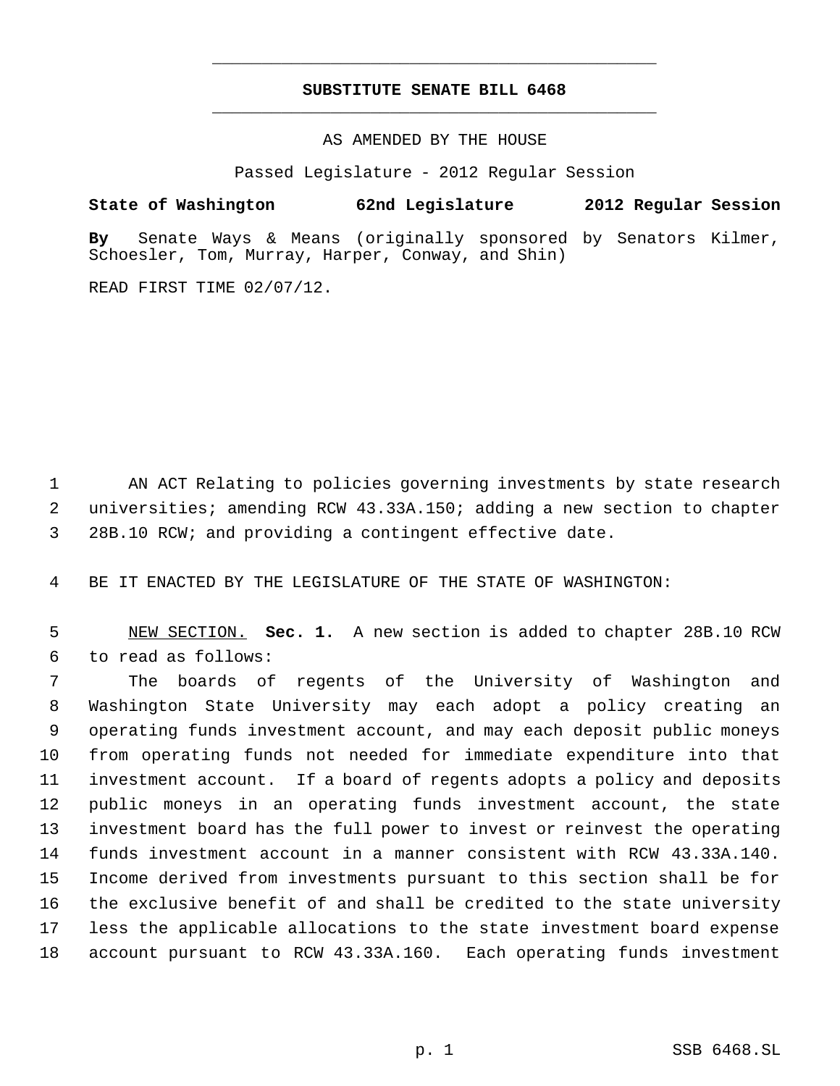## **SUBSTITUTE SENATE BILL 6468** \_\_\_\_\_\_\_\_\_\_\_\_\_\_\_\_\_\_\_\_\_\_\_\_\_\_\_\_\_\_\_\_\_\_\_\_\_\_\_\_\_\_\_\_\_

\_\_\_\_\_\_\_\_\_\_\_\_\_\_\_\_\_\_\_\_\_\_\_\_\_\_\_\_\_\_\_\_\_\_\_\_\_\_\_\_\_\_\_\_\_

AS AMENDED BY THE HOUSE

Passed Legislature - 2012 Regular Session

**State of Washington 62nd Legislature 2012 Regular Session**

**By** Senate Ways & Means (originally sponsored by Senators Kilmer, Schoesler, Tom, Murray, Harper, Conway, and Shin)

READ FIRST TIME 02/07/12.

 AN ACT Relating to policies governing investments by state research universities; amending RCW 43.33A.150; adding a new section to chapter 28B.10 RCW; and providing a contingent effective date.

BE IT ENACTED BY THE LEGISLATURE OF THE STATE OF WASHINGTON:

 NEW SECTION. **Sec. 1.** A new section is added to chapter 28B.10 RCW to read as follows:

 The boards of regents of the University of Washington and Washington State University may each adopt a policy creating an operating funds investment account, and may each deposit public moneys from operating funds not needed for immediate expenditure into that investment account. If a board of regents adopts a policy and deposits public moneys in an operating funds investment account, the state investment board has the full power to invest or reinvest the operating funds investment account in a manner consistent with RCW 43.33A.140. Income derived from investments pursuant to this section shall be for the exclusive benefit of and shall be credited to the state university less the applicable allocations to the state investment board expense account pursuant to RCW 43.33A.160. Each operating funds investment